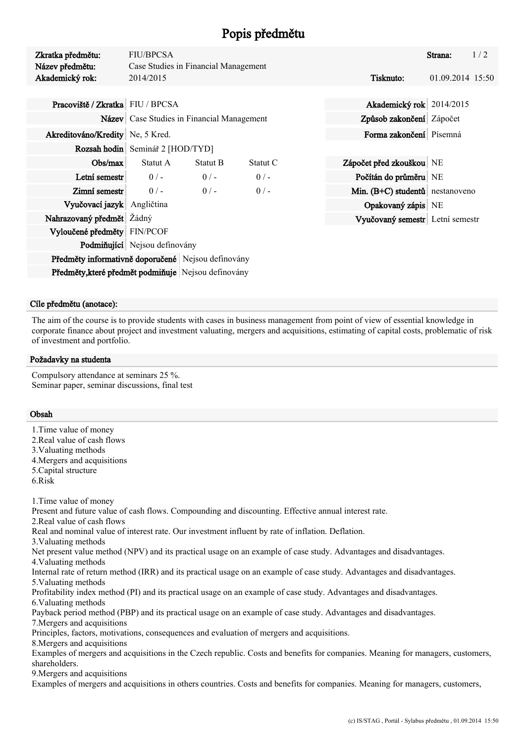# Popis předmětu

| Zkratka předmětu:<br>Název předmětu:               | <b>FIU/BPCSA</b>                             | Case Studies in Financial Management |          |                          |                                 | Strana:          | 1/2 |  |
|----------------------------------------------------|----------------------------------------------|--------------------------------------|----------|--------------------------|---------------------------------|------------------|-----|--|
| Akademický rok:                                    | 2014/2015                                    |                                      |          |                          | Tisknuto:                       | 01.09.2014 15:50 |     |  |
|                                                    |                                              |                                      |          |                          |                                 |                  |     |  |
| Pracoviště / Zkratka FIU / BPCSA                   |                                              |                                      |          | Akademický rok 2014/2015 |                                 |                  |     |  |
|                                                    | Název   Case Studies in Financial Management |                                      |          |                          | Způsob zakončení Zápočet        |                  |     |  |
| Akreditováno/Kredity Ne, 5 Kred.                   |                                              |                                      |          |                          | Forma zakončení Písemná         |                  |     |  |
|                                                    | Rozsah hodin   Seminář 2 [HOD/TYD]           |                                      |          |                          |                                 |                  |     |  |
| Obs/max                                            | Statut A                                     | <b>Statut B</b>                      | Statut C |                          | Zápočet před zkouškou NE        |                  |     |  |
| Letní semestr                                      | $0/-$                                        | $0/-$                                | $0/-$    |                          | Počítán do průměru NE           |                  |     |  |
| Zimní semestr                                      | $0/-$                                        | $0/-$                                | $0/-$    |                          | Min. (B+C) studentů nestanoveno |                  |     |  |
| Vyučovací jazyk Angličtina                         |                                              |                                      |          |                          | Opakovaný zápis NE              |                  |     |  |
| Nahrazovaný předmět Žádný                          |                                              |                                      |          |                          | Vyučovaný semestr Letní semestr |                  |     |  |
| Vyloučené předměty FIN/PCOF                        |                                              |                                      |          |                          |                                 |                  |     |  |
|                                                    | Podmiňující Nejsou definovány                |                                      |          |                          |                                 |                  |     |  |
| Předměty informativně doporučené Nejsou definovány |                                              |                                      |          |                          |                                 |                  |     |  |

Předměty, které předmět podmiňuje Nejsou definovány

# Cíle předmětu (anotace):

The aim of the course is to provide students with cases in business management from point of view of essential knowledge in corporate finance about project and investment valuating, mergers and acquisitions, estimating of capital costs, problematic of risk of investment and portfolio.

### Požadavky na studenta

Compulsory attendance at seminars 25 %. Seminar paper, seminar discussions, final test

### Obsah

- 1.Time value of money
- 2.Real value of cash flows
- 3.Valuating methods
- 4.Mergers and acquisitions
- 5.Capital structure
- 6.Risk

1.Time value of money

Present and future value of cash flows. Compounding and discounting. Effective annual interest rate.

2.Real value of cash flows

Real and nominal value of interest rate. Our investment influent by rate of inflation. Deflation.

3.Valuating methods

Net present value method (NPV) and its practical usage on an example of case study. Advantages and disadvantages.

4.Valuating methods

Internal rate of return method (IRR) and its practical usage on an example of case study. Advantages and disadvantages. 5.Valuating methods

Profitability index method (PI) and its practical usage on an example of case study. Advantages and disadvantages. 6.Valuating methods

Payback period method (PBP) and its practical usage on an example of case study. Advantages and disadvantages.

7.Mergers and acquisitions

Principles, factors, motivations, consequences and evaluation of mergers and acquisitions.

8.Mergers and acquisitions

Examples of mergers and acquisitions in the Czech republic. Costs and benefits for companies. Meaning for managers, customers, shareholders.

9.Mergers and acquisitions

Examples of mergers and acquisitions in others countries. Costs and benefits for companies. Meaning for managers, customers,